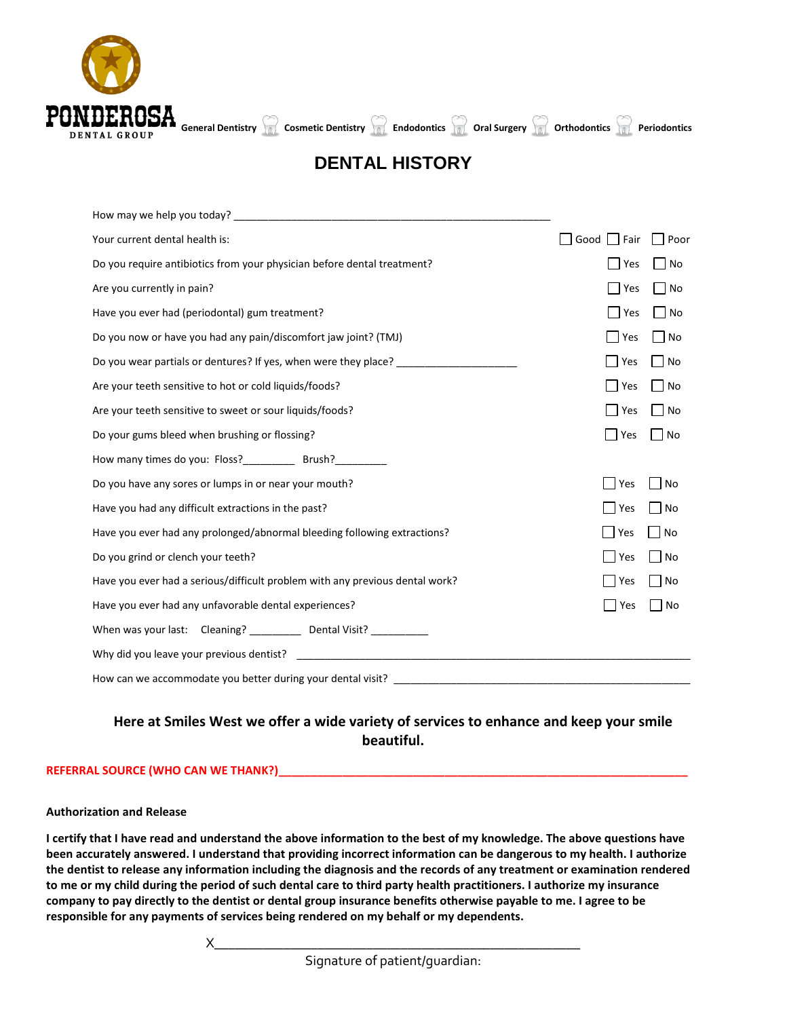

# **DENTAL HISTORY**

| Your current dental health is:                                                         | Good Fair     | Poor              |
|----------------------------------------------------------------------------------------|---------------|-------------------|
| Do you require antibiotics from your physician before dental treatment?                | Yes           | No                |
| Are you currently in pain?                                                             | Yes           | No                |
| Have you ever had (periodontal) gum treatment?                                         | Yes           | $\Box$ No         |
| Do you now or have you had any pain/discomfort jaw joint? (TMJ)                        | <b>Yes</b>    | No                |
| Do you wear partials or dentures? If yes, when were they place? ______________________ | $\exists$ Yes | l INo             |
| Are your teeth sensitive to hot or cold liquids/foods?                                 | Yes           | No                |
| Are your teeth sensitive to sweet or sour liquids/foods?                               | Yes           | No                |
| Do your gums bleed when brushing or flossing?                                          | Yes           | $\blacksquare$ No |
| How many times do you: Floss?_____________ Brush?___________                           |               |                   |
| Do you have any sores or lumps in or near your mouth?                                  | Yes           | No                |
| Have you had any difficult extractions in the past?                                    | Yes           | No                |
| Have you ever had any prolonged/abnormal bleeding following extractions?               | <b>Yes</b>    | No                |
| Do you grind or clench your teeth?                                                     | Yes           | No                |
| Have you ever had a serious/difficult problem with any previous dental work?           | Yes           | No                |
| Have you ever had any unfavorable dental experiences?                                  | Yes           | No                |
| When was your last: Cleaning? ____________ Dental Visit? ____________                  |               |                   |
|                                                                                        |               |                   |
|                                                                                        |               |                   |

## **Here at Smiles West we offer a wide variety of services to enhance and keep your smile beautiful.**

## **REFERRAL SOURCE (WHO CAN WE THANK?)\_\_\_\_\_\_\_\_\_\_\_\_\_\_\_\_\_\_\_\_\_\_\_\_\_\_\_\_\_\_\_\_\_\_\_\_\_\_\_\_\_\_\_\_\_\_\_\_\_\_\_\_\_\_\_\_\_\_\_\_\_\_\_\_**

### **Authorization and Release**

**I certify that I have read and understand the above information to the best of my knowledge. The above questions have been accurately answered. I understand that providing incorrect information can be dangerous to my health. I authorize the dentist to release any information including the diagnosis and the records of any treatment or examination rendered to me or my child during the period of such dental care to third party health practitioners. I authorize my insurance company to pay directly to the dentist or dental group insurance benefits otherwise payable to me. I agree to be responsible for any payments of services being rendered on my behalf or my dependents.**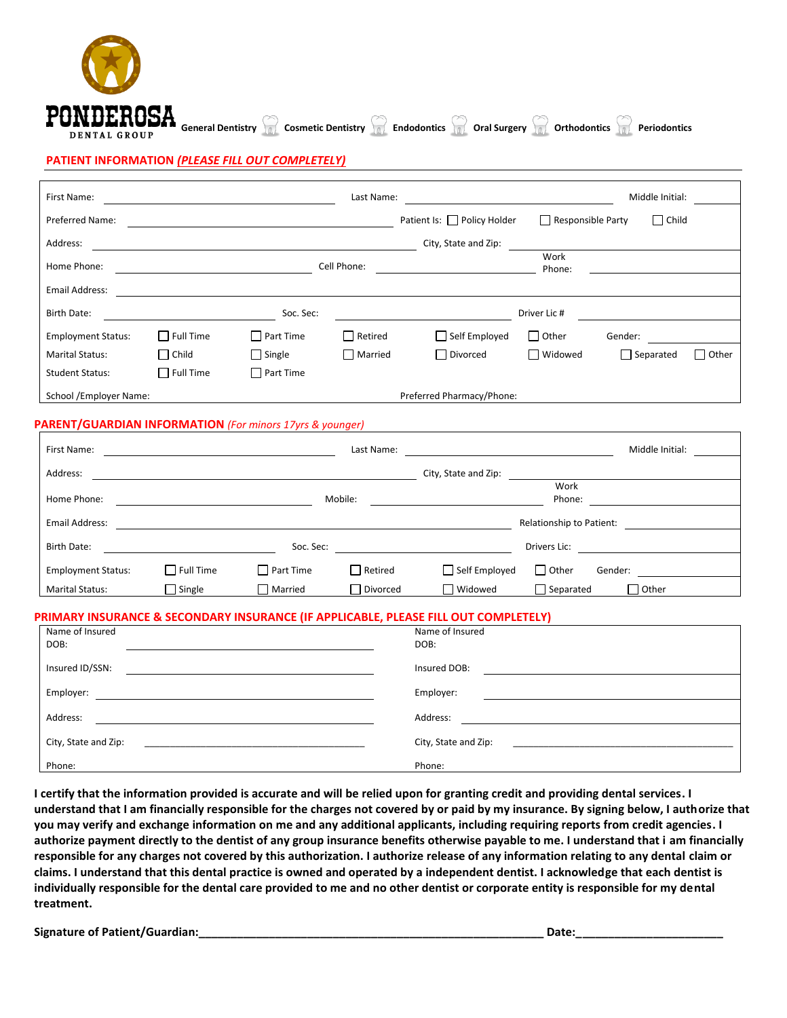### **PATIENT INFORMATION** *(PLEASE FILL OUT COMPLETELY)*

DENTAL GROUP

| First Name:               | Last Name:       |                  |                |                                  | Middle Initial:          |                  |              |  |
|---------------------------|------------------|------------------|----------------|----------------------------------|--------------------------|------------------|--------------|--|
| Preferred Name:           |                  |                  |                | Patient Is: $\Box$ Policy Holder | $\Box$ Responsible Party | $\Box$ Child     |              |  |
| Address:                  |                  |                  |                | City, State and Zip:             |                          |                  |              |  |
| Home Phone:               |                  |                  | Cell Phone:    |                                  | Work<br>Phone:           |                  |              |  |
| <b>Email Address:</b>     |                  |                  |                |                                  |                          |                  |              |  |
| <b>Birth Date:</b>        |                  | Soc. Sec:        |                |                                  | Driver Lic #             |                  |              |  |
| <b>Employment Status:</b> | $\Box$ Full Time | $\Box$ Part Time | $\Box$ Retired | $\Box$ Self Employed             | $\Box$ Other             | Gender:          |              |  |
| <b>Marital Status:</b>    | $\Box$ Child     | $\Box$ Single    | $\Box$ Married | □ Divorced                       | □ Widowed                | $\Box$ Separated | $\Box$ Other |  |
| <b>Student Status:</b>    | $\Box$ Full Time | $\Box$ Part Time |                |                                  |                          |                  |              |  |
| School /Employer Name:    |                  |                  |                | Preferred Pharmacy/Phone:        |                          |                  |              |  |

**RESA**<br>Contract General Dentistry **Cosmetic Dentistry Capachy Capacity Capacity Capachy orthodontics Capachy Periodontics** 

### **PARENT/GUARDIAN INFORMATION** *(For minors 17yrs & younger)*

| First Name:               | Last Name:       |                  |          |                      | Middle Initial:           |  |  |
|---------------------------|------------------|------------------|----------|----------------------|---------------------------|--|--|
| Address:                  |                  |                  |          | City, State and Zip: |                           |  |  |
| Home Phone:               | Mobile:          |                  |          |                      | Work<br>Phone:            |  |  |
| Email Address:            |                  |                  |          |                      | Relationship to Patient:  |  |  |
| Birth Date:               | Soc. Sec:        |                  |          | Drivers Lic:         |                           |  |  |
| <b>Employment Status:</b> | $\Box$ Full Time | $\Box$ Part Time | Retired  | $\Box$ Self Employed | $\Box$ Other<br>Gender:   |  |  |
| <b>Marital Status:</b>    | Single           | Married          | Divorced | Widowed              | $\Box$ Other<br>Separated |  |  |

#### **PRIMARY INSURANCE & SECONDARY INSURANCE (IF APPLICABLE, PLEASE FILL OUT COMPLETELY)**

| Name of Insured<br>DOB: | Name of Insured<br>DOB: |
|-------------------------|-------------------------|
| Insured ID/SSN:         | Insured DOB:            |
| Employer:               | Employer:               |
| Address:                | Address:                |
| City, State and Zip:    | City, State and Zip:    |
| Phone:                  | Phone:                  |

**I certify that the information provided is accurate and will be relied upon for granting credit and providing dental services. I understand that I am financially responsible for the charges not covered by or paid by my insurance. By signing below, I authorize that you may verify and exchange information on me and any additional applicants, including requiring reports from credit agencies. I authorize payment directly to the dentist of any group insurance benefits otherwise payable to me. I understand that i am financially responsible for any charges not covered by this authorization. I authorize release of any information relating to any dental claim or claims. I understand that this dental practice is owned and operated by a independent dentist. I acknowledge that each dentist is individually responsible for the dental care provided to me and no other dentist or corporate entity is responsible for my dental treatment.**

**Signature of Patient/Guardian:\_\_\_\_\_\_\_\_\_\_\_\_\_\_\_\_\_\_\_\_\_\_\_\_\_\_\_\_\_\_\_\_\_\_\_\_\_\_\_\_\_\_\_\_\_\_\_\_\_\_\_\_\_\_ Date:\_\_\_\_\_\_\_\_\_\_\_\_\_\_\_\_\_\_\_\_\_\_\_**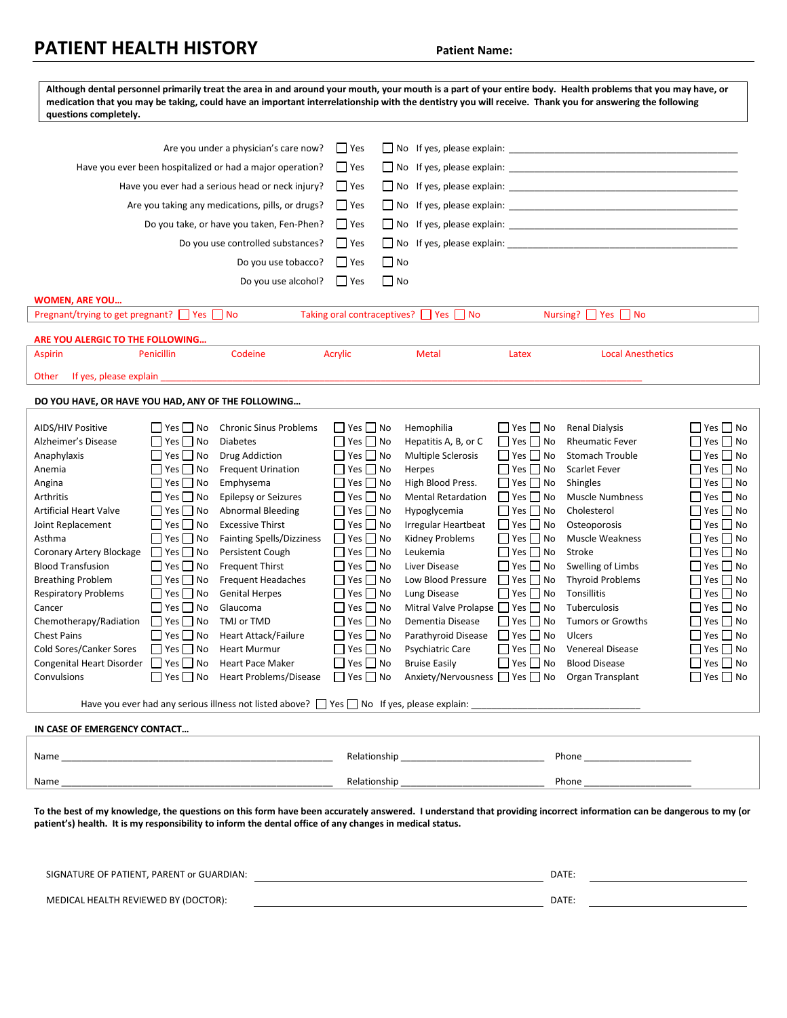## **PATIENT HEALTH HISTORY Patient Name:**

| Although dental personnel primarily treat the area in and around your mouth, your mouth is a part of your entire body. Health problems that you may have, or<br>medication that you may be taking, could have an important interrelationship with the dentistry you will receive. Thank you for answering the following<br>questions completely.                                                                                                                                                                                                                                                                                                                                                                                                                                                                                                                                                                                                                                                                                                                                                                                                                                                                                                                                                                           |                                                                                                                                                                                                                                                                                                                                                                                                                                                                      |                                                                                                                                                                                                                                                                                                                                                                                                                                 |                                                                                                                                                                                                                                                                                                                                                                                                            |                                                                                                                                                                                                                                                                                                                                                                             |                                                                                                                                                                                                                                                                                                                                                                                                                                                                               |  |
|----------------------------------------------------------------------------------------------------------------------------------------------------------------------------------------------------------------------------------------------------------------------------------------------------------------------------------------------------------------------------------------------------------------------------------------------------------------------------------------------------------------------------------------------------------------------------------------------------------------------------------------------------------------------------------------------------------------------------------------------------------------------------------------------------------------------------------------------------------------------------------------------------------------------------------------------------------------------------------------------------------------------------------------------------------------------------------------------------------------------------------------------------------------------------------------------------------------------------------------------------------------------------------------------------------------------------|----------------------------------------------------------------------------------------------------------------------------------------------------------------------------------------------------------------------------------------------------------------------------------------------------------------------------------------------------------------------------------------------------------------------------------------------------------------------|---------------------------------------------------------------------------------------------------------------------------------------------------------------------------------------------------------------------------------------------------------------------------------------------------------------------------------------------------------------------------------------------------------------------------------|------------------------------------------------------------------------------------------------------------------------------------------------------------------------------------------------------------------------------------------------------------------------------------------------------------------------------------------------------------------------------------------------------------|-----------------------------------------------------------------------------------------------------------------------------------------------------------------------------------------------------------------------------------------------------------------------------------------------------------------------------------------------------------------------------|-------------------------------------------------------------------------------------------------------------------------------------------------------------------------------------------------------------------------------------------------------------------------------------------------------------------------------------------------------------------------------------------------------------------------------------------------------------------------------|--|
| Are you under a physician's care now?                                                                                                                                                                                                                                                                                                                                                                                                                                                                                                                                                                                                                                                                                                                                                                                                                                                                                                                                                                                                                                                                                                                                                                                                                                                                                      | $\Box$ Yes                                                                                                                                                                                                                                                                                                                                                                                                                                                           |                                                                                                                                                                                                                                                                                                                                                                                                                                 |                                                                                                                                                                                                                                                                                                                                                                                                            |                                                                                                                                                                                                                                                                                                                                                                             |                                                                                                                                                                                                                                                                                                                                                                                                                                                                               |  |
| Have you ever been hospitalized or had a major operation?                                                                                                                                                                                                                                                                                                                                                                                                                                                                                                                                                                                                                                                                                                                                                                                                                                                                                                                                                                                                                                                                                                                                                                                                                                                                  | $\Box$ Yes                                                                                                                                                                                                                                                                                                                                                                                                                                                           |                                                                                                                                                                                                                                                                                                                                                                                                                                 |                                                                                                                                                                                                                                                                                                                                                                                                            |                                                                                                                                                                                                                                                                                                                                                                             |                                                                                                                                                                                                                                                                                                                                                                                                                                                                               |  |
| Have you ever had a serious head or neck injury?<br>$\blacksquare$ Yes                                                                                                                                                                                                                                                                                                                                                                                                                                                                                                                                                                                                                                                                                                                                                                                                                                                                                                                                                                                                                                                                                                                                                                                                                                                     |                                                                                                                                                                                                                                                                                                                                                                                                                                                                      |                                                                                                                                                                                                                                                                                                                                                                                                                                 |                                                                                                                                                                                                                                                                                                                                                                                                            |                                                                                                                                                                                                                                                                                                                                                                             |                                                                                                                                                                                                                                                                                                                                                                                                                                                                               |  |
| $\Box$ Yes<br>Are you taking any medications, pills, or drugs?<br>No If yes, please explain: No If yes are not all the set of the set of the set of the set of the set of the set of the set of the set of the set of the set of the set of the set of the set of the set of the set of the set                                                                                                                                                                                                                                                                                                                                                                                                                                                                                                                                                                                                                                                                                                                                                                                                                                                                                                                                                                                                                            |                                                                                                                                                                                                                                                                                                                                                                                                                                                                      |                                                                                                                                                                                                                                                                                                                                                                                                                                 |                                                                                                                                                                                                                                                                                                                                                                                                            |                                                                                                                                                                                                                                                                                                                                                                             |                                                                                                                                                                                                                                                                                                                                                                                                                                                                               |  |
| Do you take, or have you taken, Fen-Phen?                                                                                                                                                                                                                                                                                                                                                                                                                                                                                                                                                                                                                                                                                                                                                                                                                                                                                                                                                                                                                                                                                                                                                                                                                                                                                  | $\Box$ Yes                                                                                                                                                                                                                                                                                                                                                                                                                                                           |                                                                                                                                                                                                                                                                                                                                                                                                                                 |                                                                                                                                                                                                                                                                                                                                                                                                            |                                                                                                                                                                                                                                                                                                                                                                             |                                                                                                                                                                                                                                                                                                                                                                                                                                                                               |  |
| Do you use controlled substances?                                                                                                                                                                                                                                                                                                                                                                                                                                                                                                                                                                                                                                                                                                                                                                                                                                                                                                                                                                                                                                                                                                                                                                                                                                                                                          | $\Box$ Yes                                                                                                                                                                                                                                                                                                                                                                                                                                                           | No If yes, please explain: No If yes, please explain:                                                                                                                                                                                                                                                                                                                                                                           |                                                                                                                                                                                                                                                                                                                                                                                                            |                                                                                                                                                                                                                                                                                                                                                                             |                                                                                                                                                                                                                                                                                                                                                                                                                                                                               |  |
| Do you use tobacco?                                                                                                                                                                                                                                                                                                                                                                                                                                                                                                                                                                                                                                                                                                                                                                                                                                                                                                                                                                                                                                                                                                                                                                                                                                                                                                        | $\blacksquare$ Yes                                                                                                                                                                                                                                                                                                                                                                                                                                                   | $\Box$ No                                                                                                                                                                                                                                                                                                                                                                                                                       |                                                                                                                                                                                                                                                                                                                                                                                                            |                                                                                                                                                                                                                                                                                                                                                                             |                                                                                                                                                                                                                                                                                                                                                                                                                                                                               |  |
| Do you use alcohol?                                                                                                                                                                                                                                                                                                                                                                                                                                                                                                                                                                                                                                                                                                                                                                                                                                                                                                                                                                                                                                                                                                                                                                                                                                                                                                        | $\Box$ Yes                                                                                                                                                                                                                                                                                                                                                                                                                                                           | $\Box$ No                                                                                                                                                                                                                                                                                                                                                                                                                       |                                                                                                                                                                                                                                                                                                                                                                                                            |                                                                                                                                                                                                                                                                                                                                                                             |                                                                                                                                                                                                                                                                                                                                                                                                                                                                               |  |
| <b>WOMEN, ARE YOU</b>                                                                                                                                                                                                                                                                                                                                                                                                                                                                                                                                                                                                                                                                                                                                                                                                                                                                                                                                                                                                                                                                                                                                                                                                                                                                                                      |                                                                                                                                                                                                                                                                                                                                                                                                                                                                      |                                                                                                                                                                                                                                                                                                                                                                                                                                 |                                                                                                                                                                                                                                                                                                                                                                                                            |                                                                                                                                                                                                                                                                                                                                                                             |                                                                                                                                                                                                                                                                                                                                                                                                                                                                               |  |
| Pregnant/trying to get pregnant? □ Yes □ No                                                                                                                                                                                                                                                                                                                                                                                                                                                                                                                                                                                                                                                                                                                                                                                                                                                                                                                                                                                                                                                                                                                                                                                                                                                                                |                                                                                                                                                                                                                                                                                                                                                                                                                                                                      | Taking oral contraceptives? □ Yes □ No                                                                                                                                                                                                                                                                                                                                                                                          |                                                                                                                                                                                                                                                                                                                                                                                                            | Nursing? □ Yes □ No                                                                                                                                                                                                                                                                                                                                                         |                                                                                                                                                                                                                                                                                                                                                                                                                                                                               |  |
| ARE YOU ALERGIC TO THE FOLLOWING                                                                                                                                                                                                                                                                                                                                                                                                                                                                                                                                                                                                                                                                                                                                                                                                                                                                                                                                                                                                                                                                                                                                                                                                                                                                                           |                                                                                                                                                                                                                                                                                                                                                                                                                                                                      |                                                                                                                                                                                                                                                                                                                                                                                                                                 |                                                                                                                                                                                                                                                                                                                                                                                                            |                                                                                                                                                                                                                                                                                                                                                                             |                                                                                                                                                                                                                                                                                                                                                                                                                                                                               |  |
| Codeine<br>Penicillin<br><b>Aspirin</b>                                                                                                                                                                                                                                                                                                                                                                                                                                                                                                                                                                                                                                                                                                                                                                                                                                                                                                                                                                                                                                                                                                                                                                                                                                                                                    | Acrylic                                                                                                                                                                                                                                                                                                                                                                                                                                                              | <b>Metal</b>                                                                                                                                                                                                                                                                                                                                                                                                                    | Latex                                                                                                                                                                                                                                                                                                                                                                                                      | <b>Local Anesthetics</b>                                                                                                                                                                                                                                                                                                                                                    |                                                                                                                                                                                                                                                                                                                                                                                                                                                                               |  |
| If yes, please explain<br>Other                                                                                                                                                                                                                                                                                                                                                                                                                                                                                                                                                                                                                                                                                                                                                                                                                                                                                                                                                                                                                                                                                                                                                                                                                                                                                            |                                                                                                                                                                                                                                                                                                                                                                                                                                                                      |                                                                                                                                                                                                                                                                                                                                                                                                                                 |                                                                                                                                                                                                                                                                                                                                                                                                            |                                                                                                                                                                                                                                                                                                                                                                             |                                                                                                                                                                                                                                                                                                                                                                                                                                                                               |  |
| DO YOU HAVE, OR HAVE YOU HAD, ANY OF THE FOLLOWING                                                                                                                                                                                                                                                                                                                                                                                                                                                                                                                                                                                                                                                                                                                                                                                                                                                                                                                                                                                                                                                                                                                                                                                                                                                                         |                                                                                                                                                                                                                                                                                                                                                                                                                                                                      |                                                                                                                                                                                                                                                                                                                                                                                                                                 |                                                                                                                                                                                                                                                                                                                                                                                                            |                                                                                                                                                                                                                                                                                                                                                                             |                                                                                                                                                                                                                                                                                                                                                                                                                                                                               |  |
| AIDS/HIV Positive<br>  Yes   No<br><b>Chronic Sinus Problems</b><br>Alzheimer's Disease<br>$\Box$ Yes $\Box$ No<br><b>Diabetes</b><br>$\Box$ Yes $\Box$ No<br>Drug Addiction<br>Anaphylaxis<br>$\Box$ Yes $\Box$ No<br><b>Frequent Urination</b><br>Anemia<br>$\Box$ Yes $\Box$ No<br>Emphysema<br>Angina<br>$\Box$ Yes $\Box$ No<br><b>Epilepsy or Seizures</b><br>Arthritis<br>$\Box$ Yes $\Box$ No<br><b>Artificial Heart Valve</b><br><b>Abnormal Bleeding</b><br>$\Box$ Yes $\Box$ No<br>Joint Replacement<br><b>Excessive Thirst</b><br>$\Box$ Yes $\Box$ No<br><b>Fainting Spells/Dizziness</b><br>Asthma<br>$\Box$ Yes $\Box$ No<br>Persistent Cough<br>Coronary Artery Blockage<br>$\Box$ Yes $\Box$ No<br><b>Blood Transfusion</b><br><b>Frequent Thirst</b><br>$\Box$ Yes $\Box$ No<br><b>Frequent Headaches</b><br><b>Breathing Problem</b><br><b>Respiratory Problems</b><br>$\Box$ Yes $\Box$ No<br><b>Genital Herpes</b><br>$\Box$ Yes $\Box$ No<br>Glaucoma<br>Cancer<br>$\Box$ Yes $\Box$ No<br>TMJ or TMD<br>Chemotherapy/Radiation<br><b>Chest Pains</b><br>$\Box$ Yes $\Box$ No<br>Heart Attack/Failure<br>$\Box$ Yes $\Box$ No<br>Cold Sores/Canker Sores<br><b>Heart Murmur</b><br>Congenital Heart Disorder 7 Yes No Heart Pace Maker<br>Convulsions<br>$\Box$ Yes $\Box$ No Heart Problems/Disease | $\Box$ Yes $\Box$ No<br>$\Box$ Yes $\Box$ No<br>$\Box$ Yes $\Box$ No<br>$\Box$ Yes $\Box$ No<br>$\Box$ Yes $\Box$ No<br>$\Box$ Yes $\Box$ No<br>$\Box$ Yes $\Box$ No<br>$\Box$ Yes $\Box$ No<br>$\Box$ Yes $\Box$ No<br>$\Box$ Yes $\Box$ No<br>$\Box$ Yes $\Box$ No<br>$\Box$ Yes $\Box$ No<br>$\Box$ Yes $\Box$ No<br>$\Box$ Yes $\Box$ No<br>$\Box$ Yes $\Box$ No<br>$\Box$ Yes $\Box$ No<br>$\Box$ Yes $\Box$ No<br>$\Box$ Yes $\Box$ No<br>$\Box$ Yes $\Box$ No | Hemophilia<br>Hepatitis A, B, or C<br>Multiple Sclerosis<br>Herpes<br>High Blood Press.<br><b>Mental Retardation</b><br>Hypoglycemia<br>Irregular Heartbeat<br>Kidney Problems<br>Leukemia<br>Liver Disease<br>Low Blood Pressure<br>Lung Disease<br>Mitral Valve Prolapse T Yes T No<br>Dementia Disease<br>Parathyroid Disease<br>Psychiatric Care<br><b>Bruise Easily</b><br>Anxiety/Nervousness ∩ Yes ∩ No Organ Transplant | $\Box$ Yes $\Box$ No<br>$\Box$ Yes $\Box$ No<br>$\Box$ Yes $\Box$ No<br>$\Box$ Yes $\Box$ No<br>$\Box$ Yes $\Box$ No<br>$\Box$ Yes $\Box$ No<br>$\Box$ Yes $\Box$ No<br>$\Box$ Yes $\Box$ No<br>$\Box$ Yes $\Box$ No<br>$\Box$ Yes $\Box$ No<br>$\Box$ Yes $\Box$ No<br>$\Box$ Yes $\Box$ No<br>$\Box$ Yes $\Box$ No<br>$\Box$ Yes $\Box$ No<br>  Yes   No<br>$\Box$ Yes $\Box$ No<br>$\Box$ Yes $\Box$ No | <b>Renal Dialysis</b><br><b>Rheumatic Fever</b><br><b>Stomach Trouble</b><br><b>Scarlet Fever</b><br>Shingles<br><b>Muscle Numbness</b><br>Cholesterol<br>Osteoporosis<br>Muscle Weakness<br>Stroke<br>Swelling of Limbs<br><b>Thyroid Problems</b><br>Tonsillitis<br>Tuberculosis<br><b>Tumors or Growths</b><br>Ulcers<br><b>Venereal Disease</b><br><b>Blood Disease</b> | ∏ Yes∏ No<br>$\Box$ Yes $\Box$ No<br>$\square$ Yes $\square$ No<br>$\Box$ Yes $\Box$ No<br>$\Box$ Yes $\Box$ No<br>$\Box$ Yes $\Box$ No<br>$\Box$ Yes $\Box$ No<br>$\square$ Yes $\square$ No<br>$\Box$ Yes $\Box$ No<br>$\Box$ Yes $\Box$ No<br>∏ Yes ∏ No<br>$\square$ Yes $\square$ No<br>$\square$ Yes $\square$ No<br>$\square$ Yes $\square$ No<br>$\Box$ Yes $\Box$ No<br>$\Box$ Yes $\Box$ No<br>$\Box$ Yes $\Box$ No<br>$\Box$ Yes $\Box$ No<br>$\Box$ Yes $\Box$ No |  |
| Have you ever had any serious illness not listed above? $\Box$ Yes $\Box$ No If yes, please explain:                                                                                                                                                                                                                                                                                                                                                                                                                                                                                                                                                                                                                                                                                                                                                                                                                                                                                                                                                                                                                                                                                                                                                                                                                       |                                                                                                                                                                                                                                                                                                                                                                                                                                                                      |                                                                                                                                                                                                                                                                                                                                                                                                                                 |                                                                                                                                                                                                                                                                                                                                                                                                            |                                                                                                                                                                                                                                                                                                                                                                             |                                                                                                                                                                                                                                                                                                                                                                                                                                                                               |  |
| IN CASE OF EMERGENCY CONTACT                                                                                                                                                                                                                                                                                                                                                                                                                                                                                                                                                                                                                                                                                                                                                                                                                                                                                                                                                                                                                                                                                                                                                                                                                                                                                               |                                                                                                                                                                                                                                                                                                                                                                                                                                                                      |                                                                                                                                                                                                                                                                                                                                                                                                                                 |                                                                                                                                                                                                                                                                                                                                                                                                            |                                                                                                                                                                                                                                                                                                                                                                             |                                                                                                                                                                                                                                                                                                                                                                                                                                                                               |  |
| Name                                                                                                                                                                                                                                                                                                                                                                                                                                                                                                                                                                                                                                                                                                                                                                                                                                                                                                                                                                                                                                                                                                                                                                                                                                                                                                                       |                                                                                                                                                                                                                                                                                                                                                                                                                                                                      |                                                                                                                                                                                                                                                                                                                                                                                                                                 |                                                                                                                                                                                                                                                                                                                                                                                                            |                                                                                                                                                                                                                                                                                                                                                                             |                                                                                                                                                                                                                                                                                                                                                                                                                                                                               |  |
| Name                                                                                                                                                                                                                                                                                                                                                                                                                                                                                                                                                                                                                                                                                                                                                                                                                                                                                                                                                                                                                                                                                                                                                                                                                                                                                                                       | Relationship_                                                                                                                                                                                                                                                                                                                                                                                                                                                        |                                                                                                                                                                                                                                                                                                                                                                                                                                 |                                                                                                                                                                                                                                                                                                                                                                                                            | Phone_                                                                                                                                                                                                                                                                                                                                                                      |                                                                                                                                                                                                                                                                                                                                                                                                                                                                               |  |
| To the best of my knowledge, the questions on this form have been accurately answered. I understand that providing incorrect information can be dangerous to my (or<br>patient's) health. It is my responsibility to inform the dental office of any changes in medical status.                                                                                                                                                                                                                                                                                                                                                                                                                                                                                                                                                                                                                                                                                                                                                                                                                                                                                                                                                                                                                                            |                                                                                                                                                                                                                                                                                                                                                                                                                                                                      |                                                                                                                                                                                                                                                                                                                                                                                                                                 |                                                                                                                                                                                                                                                                                                                                                                                                            |                                                                                                                                                                                                                                                                                                                                                                             |                                                                                                                                                                                                                                                                                                                                                                                                                                                                               |  |
| SIGNATURE OF PATIENT, PARENT or GUARDIAN:                                                                                                                                                                                                                                                                                                                                                                                                                                                                                                                                                                                                                                                                                                                                                                                                                                                                                                                                                                                                                                                                                                                                                                                                                                                                                  |                                                                                                                                                                                                                                                                                                                                                                                                                                                                      |                                                                                                                                                                                                                                                                                                                                                                                                                                 |                                                                                                                                                                                                                                                                                                                                                                                                            | DATE:                                                                                                                                                                                                                                                                                                                                                                       |                                                                                                                                                                                                                                                                                                                                                                                                                                                                               |  |

MEDICAL HEALTH REVIEWED BY (DOCTOR): DATE: DATE: DATE: DATE: DATE: DATE: DATE: DATE: DATE: DATE: DATE: DATE: DATE: DATE: DATE: DATE: DATE: DATE: DATE: DATE: DATE: DATE: DATE: DATE: DATE: DATE: DATE: DATE: DATE: DATE: DATE: